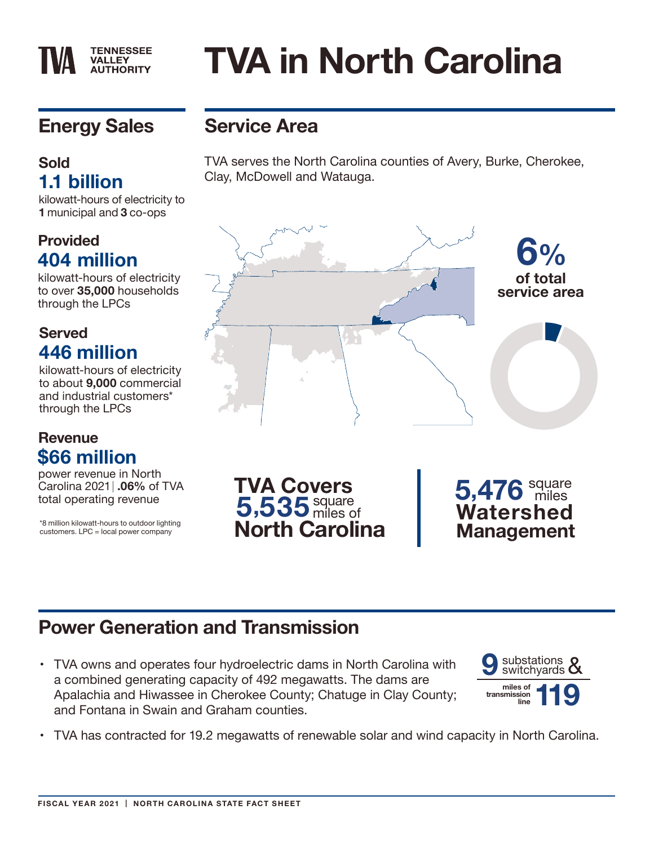# **Energy Sales**

**TENNESSEE VALLEY AUTHORITY** 

#### **Sold 1.1 billion**

kilowatt-hours of electricity to **1** municipal and **3** co-ops

#### **Provided 404 million**

kilowatt-hours of electricity to over **35,000** households through the LPCs

#### **Served 446 million**

kilowatt-hours of electricity to about **9,000** commercial and industrial customers\* through the LPCs

#### **Revenue \$66 million**

power revenue in North Carolina 2021 | **.06%** of TVA total operating revenue

\*8 million kilowatt-hours to outdoor lighting customers. LPC = local power company

# **Service Area**

TVA serves the North Carolina counties of Avery, Burke, Cherokee, Clay, McDowell and Watauga.

**TVA in North Carolina**



#### **Power Generation and Transmission**

• TVA owns and operates four hydroelectric dams in North Carolina with a combined generating capacity of 492 megawatts. The dams are Apalachia and Hiwassee in Cherokee County; Chatuge in Clay County; and Fontana in Swain and Graham counties.



**Management**

• TVA has contracted for 19.2 megawatts of renewable solar and wind capacity in North Carolina.

**North Carolina**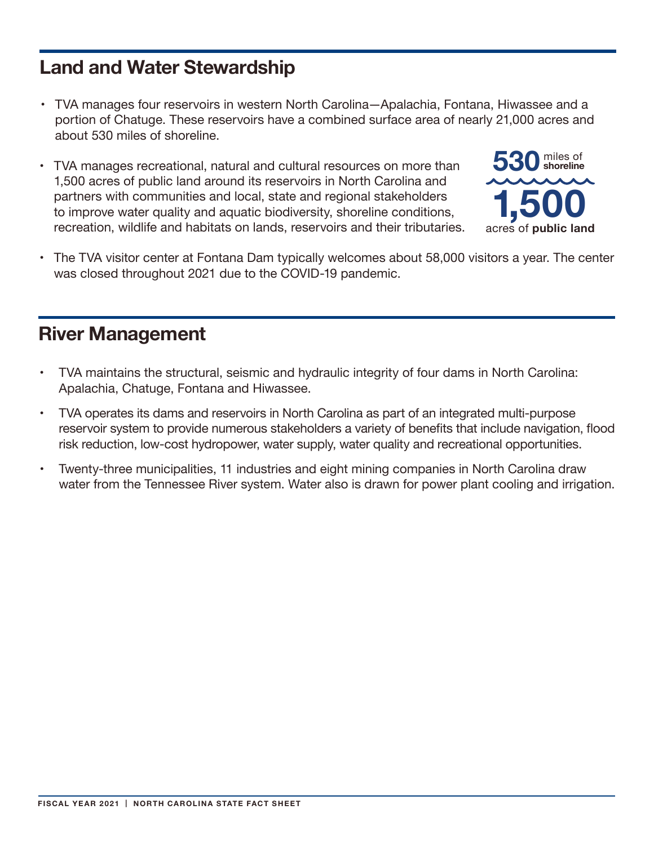# **Land and Water Stewardship**

- TVA manages four reservoirs in western North Carolina—Apalachia, Fontana, Hiwassee and a portion of Chatuge. These reservoirs have a combined surface area of nearly 21,000 acres and about 530 miles of shoreline.
- • TVA manages recreational, natural and cultural resources on more than 1,500 acres of public land around its reservoirs in North Carolina and partners with communities and local, state and regional stakeholders to improve water quality and aquatic biodiversity, shoreline conditions, recreation, wildlife and habitats on lands, reservoirs and their tributaries.



• The TVA visitor center at Fontana Dam typically welcomes about 58,000 visitors a year. The center was closed throughout 2021 due to the COVID-19 pandemic.

#### **River Management**

- • TVA maintains the structural, seismic and hydraulic integrity of four dams in North Carolina: Apalachia, Chatuge, Fontana and Hiwassee.
- • TVA operates its dams and reservoirs in North Carolina as part of an integrated multi-purpose reservoir system to provide numerous stakeholders a variety of benefits that include navigation, flood risk reduction, low-cost hydropower, water supply, water quality and recreational opportunities.
- Twenty-three municipalities, 11 industries and eight mining companies in North Carolina draw water from the Tennessee River system. Water also is drawn for power plant cooling and irrigation.